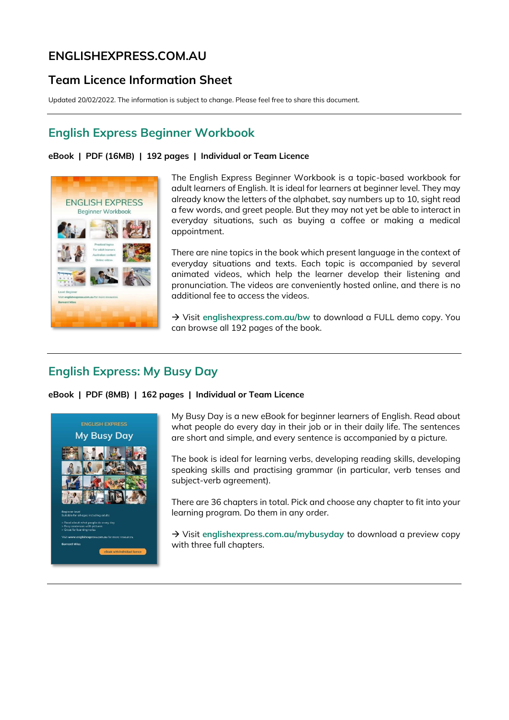# **ENGLISHEXPRESS.COM.AU**

## **Team Licence Information Sheet**

Updated 20/02/2022. The information is subject to change. Please feel free to share this document.

## **[English](https://www.englishexpress.com.au/bw) Express Beginner Workbook**

### **eBook | PDF (16MB) | 192 pages | Individual or Team Licence**



The English Express Beginner Workbook is a topic-based workbook for adult learners of English. It is ideal for learners at beginner level. They may already know the letters of the alphabet, say numbers up to 10, sight read a few words, and greet people. But they may not yet be able to interact in everyday situations, such as buying a coffee or making a medical appointment.

There are nine topics in the book which present language in the context of everyday situations and texts. Each topic is accompanied by several animated videos, which help the learner develop their listening and pronunciation. The videos are conveniently hosted online, and there is no additional fee to access the videos.

→ Visit [englishexpress.com.au/bw](https://www.englishexpress.com.au/bw) to download a FULL demo copy. You can browse all 192 pages of the book.

## **English Express: My Busy Day**

**eBook | PDF (8MB) | 162 pages | Individual or Team Licence** 



My Busy Day is a new eBook for beginner learners of English. Read about what people do every day in their job or in their daily life. The sentences are short and simple, and every sentence is accompanied by a picture.

The book is ideal for learning verbs, developing reading skills, developing speaking skills and practising grammar (in particular, verb tenses and subject-verb agreement).

There are 36 chapters in total. Pick and choose any chapter to fit into your learning program. Do them in any order.

→ Visit [englishexpress.com.au/mybusyday](https://www.englishexpress.com.au/mybusyday) to download a preview copy with three full chapters.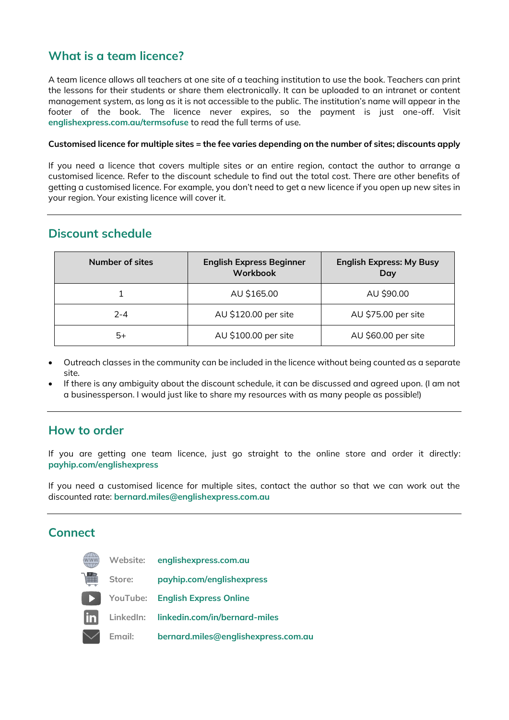## **[What](https://www.englishexpress.com.au/bw) is a team licence?**

A team licence allows all teachers at one site of a teaching institution to use the book. Teachers can print the lessons for their students or share them electronically. It can be uploaded to an intranet or content management system, as long as it is not accessible to the public. The institution's name will appear in the footer of the book. The licence never expires, so the payment is just one-off. Visit **[englishexpress.com.au/termsofuse](https://www.englishexpress.com.au/termsofuse)** to read the full terms of use.

#### **Customised licence for multiple sites = the fee varies depending on the number of sites; discounts apply**

If you need a licence that covers multiple sites or an entire region, contact the author to arrange a customised licence. Refer to the discount schedule to find out the total cost. There are other benefits of getting a customised licence. For example, you don't need to get a new licence if you open up new sites in your region. Your existing licence will cover it.

## **Discount schedule**

| Number of sites | <b>English Express Beginner</b><br>Workbook | <b>English Express: My Busy</b><br>Day |
|-----------------|---------------------------------------------|----------------------------------------|
|                 | AU \$165.00                                 | AU \$90.00                             |
| $2 - 4$         | AU \$120.00 per site                        | AU \$75.00 per site                    |
| 5+              | AU \$100.00 per site                        | AU \$60.00 per site                    |

- Outreach classes in the community can be included in the licence without being counted as a separate site.
- If there is any ambiguity about the discount schedule, it can be discussed and agreed upon. (I am not a businessperson. I would just like to share my resources with as many people as possible!)

### **How to order**

If you are getting one team licence, just go straight to the online store and order it directly: **[payhip.com/englishexpress](https://payhip.com/englishexpress)**

If you need a customised licence for multiple sites, contact the author so that we can work out the discounted rate: **bernard.miles@englishexpress.com.au**

## **Connect**

|      | Website: | englishexpress.com.au                   |
|------|----------|-----------------------------------------|
|      | Store:   | payhip.com/englishexpress               |
| D    | YouTube: | <b>English Express Online</b>           |
| lin. |          | LinkedIn: linkedin.com/in/bernard-miles |
|      | Email:   | bernard.miles@englishexpress.com.au     |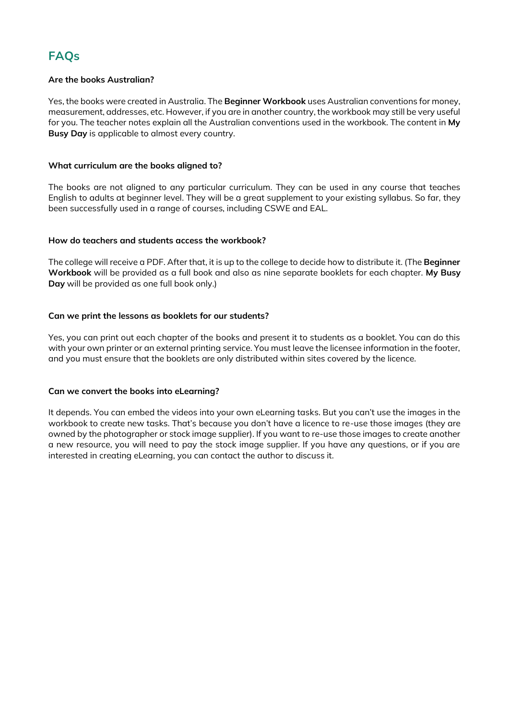# **FAQs**

### **Are the books Australian?**

Yes, the books were created in Australia. The **Beginner Workbook** uses Australian conventions for money, measurement, addresses, etc. However, if you are in another country, the workbook may still be very useful for you. The teacher notes explain all the Australian conventions used in the workbook. The content in **My Busy Day** is applicable to almost every country.

### **What curriculum are the books aligned to?**

The books are not aligned to any particular curriculum. They can be used in any course that teaches English to adults at beginner level. They will be a great supplement to your existing syllabus. So far, they been successfully used in a range of courses, including CSWE and EAL.

### **How do teachers and students access the workbook?**

The college will receive a PDF. After that, it is up to the college to decide how to distribute it. (The **Beginner Workbook** will be provided as a full book and also as nine separate booklets for each chapter. **My Busy Day** will be provided as one full book only.)

### **Can we print the lessons as booklets for our students?**

Yes, you can print out each chapter of the books and present it to students as a booklet. You can do this with your own printer or an external printing service. You must leave the licensee information in the footer, and you must ensure that the booklets are only distributed within sites covered by the licence.

#### **Can we convert the books into eLearning?**

It depends. You can embed the videos into your own eLearning tasks. But you can't use the images in the workbook to create new tasks. That's because you don't have a licence to re-use those images (they are owned by the photographer or stock image supplier). If you want to re-use those images to create another a new resource, you will need to pay the stock image supplier. If you have any questions, or if you are interested in creating eLearning, you can contact the author to discuss it.